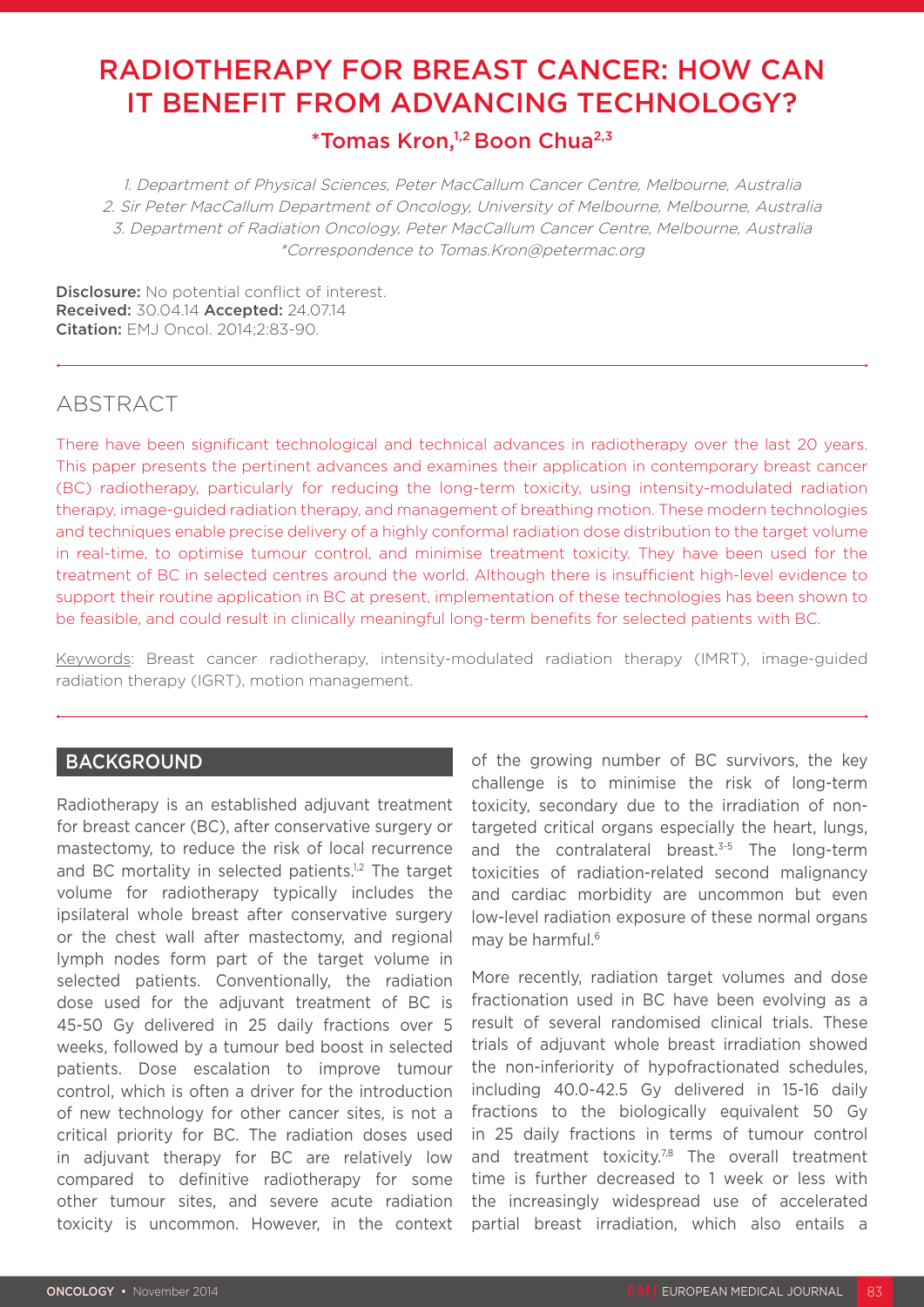# RADIOTHERAPY FOR BREAST CANCER: HOW CAN IT BENEFIT FROM ADVANCING TECHNOLOGY?

# *\*Tomas Kron.<sup>1,2</sup> Boon Chua<sup>2,3</sup>*

1. Department of Physical Sciences, Peter MacCallum Cancer Centre, Melbourne, Australia 2. Sir Peter MacCallum Department of Oncology, University of Melbourne, Melbourne, Australia 3. Department of Radiation Oncology, Peter MacCallum Cancer Centre, Melbourne, Australia \*Correspondence to Tomas.Kron@petermac.org

Disclosure: No potential conflict of interest. Received: 30.04.14 Accepted: 24.07.14 Citation: EMJ Oncol. 2014;2:83-90.

# ABSTRACT

There have been significant technological and technical advances in radiotherapy over the last 20 years. This paper presents the pertinent advances and examines their application in contemporary breast cancer (BC) radiotherapy, particularly for reducing the long-term toxicity, using intensity-modulated radiation therapy, image-guided radiation therapy, and management of breathing motion. These modern technologies and techniques enable precise delivery of a highly conformal radiation dose distribution to the target volume in real-time, to optimise tumour control, and minimise treatment toxicity. They have been used for the treatment of BC in selected centres around the world. Although there is insufficient high-level evidence to support their routine application in BC at present, implementation of these technologies has been shown to be feasible, and could result in clinically meaningful long-term benefits for selected patients with BC.

Keywords: Breast cancer radiotherapy, intensity-modulated radiation therapy (IMRT), image-guided radiation therapy (IGRT), motion management.

## BACKGROUND

Radiotherapy is an established adjuvant treatment for breast cancer (BC), after conservative surgery or mastectomy, to reduce the risk of local recurrence and BC mortality in selected patients.<sup>1,2</sup> The target volume for radiotherapy typically includes the ipsilateral whole breast after conservative surgery or the chest wall after mastectomy, and regional lymph nodes form part of the target volume in selected patients. Conventionally, the radiation dose used for the adjuvant treatment of BC is 45-50 Gy delivered in 25 daily fractions over 5 weeks, followed by a tumour bed boost in selected patients. Dose escalation to improve tumour control, which is often a driver for the introduction of new technology for other cancer sites, is not a critical priority for BC. The radiation doses used in adjuvant therapy for BC are relatively low compared to definitive radiotherapy for some other tumour sites, and severe acute radiation toxicity is uncommon. However, in the context of the growing number of BC survivors, the key challenge is to minimise the risk of long-term toxicity, secondary due to the irradiation of nontargeted critical organs especially the heart, lungs, and the contralateral breast. $3-5$  The long-term toxicities of radiation-related second malignancy and cardiac morbidity are uncommon but even low-level radiation exposure of these normal organs may be harmful.<sup>6</sup>

More recently, radiation target volumes and dose fractionation used in BC have been evolving as a result of several randomised clinical trials. These trials of adjuvant whole breast irradiation showed the non-inferiority of hypofractionated schedules, including 40.0-42.5 Gy delivered in 15-16 daily fractions to the biologically equivalent 50 Gy in 25 daily fractions in terms of tumour control and treatment toxicity.<sup>7,8</sup> The overall treatment time is further decreased to 1 week or less with the increasingly widespread use of accelerated partial breast irradiation, which also entails a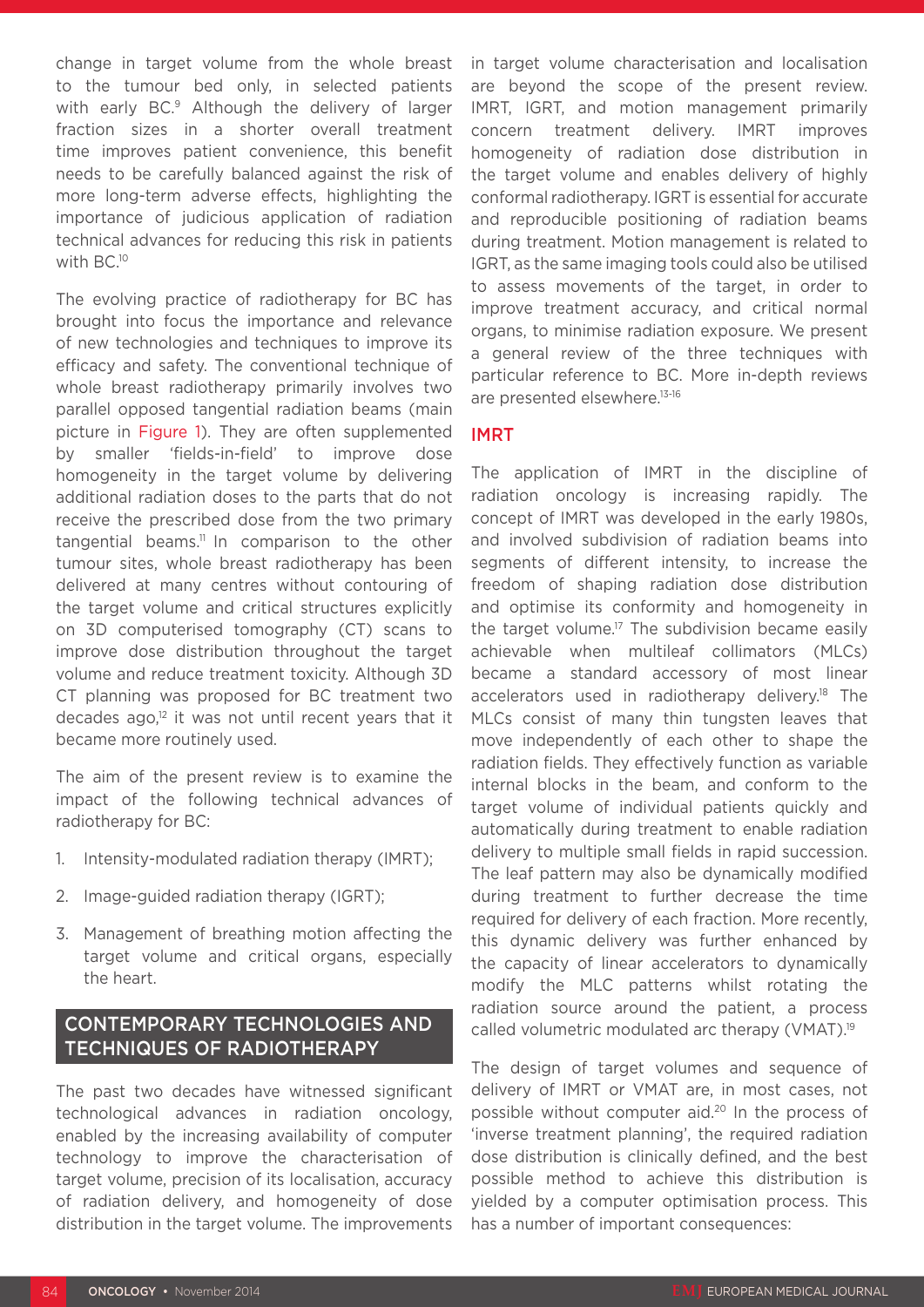change in target volume from the whole breast to the tumour bed only, in selected patients with early BC.<sup>9</sup> Although the delivery of larger fraction sizes in a shorter overall treatment time improves patient convenience, this benefit needs to be carefully balanced against the risk of more long-term adverse effects, highlighting the importance of judicious application of radiation technical advances for reducing this risk in patients with BC.10

The evolving practice of radiotherapy for BC has brought into focus the importance and relevance of new technologies and techniques to improve its efficacy and safety. The conventional technique of whole breast radiotherapy primarily involves two parallel opposed tangential radiation beams (main picture in Figure 1). They are often supplemented by smaller 'fields-in-field' to improve dose homogeneity in the target volume by delivering additional radiation doses to the parts that do not receive the prescribed dose from the two primary tangential beams.<sup>11</sup> In comparison to the other tumour sites, whole breast radiotherapy has been delivered at many centres without contouring of the target volume and critical structures explicitly on 3D computerised tomography (CT) scans to improve dose distribution throughout the target volume and reduce treatment toxicity. Although 3D CT planning was proposed for BC treatment two decades ago,<sup>12</sup> it was not until recent years that it became more routinely used.

The aim of the present review is to examine the impact of the following technical advances of radiotherapy for BC:

- 1. Intensity-modulated radiation therapy (IMRT);
- 2. Image-guided radiation therapy (IGRT);
- 3. Management of breathing motion affecting the target volume and critical organs, especially the heart.

## CONTEMPORARY TECHNOLOGIES AND TECHNIQUES OF RADIOTHERAPY

The past two decades have witnessed significant technological advances in radiation oncology, enabled by the increasing availability of computer technology to improve the characterisation of target volume, precision of its localisation, accuracy of radiation delivery, and homogeneity of dose distribution in the target volume. The improvements

in target volume characterisation and localisation are beyond the scope of the present review. IMRT, IGRT, and motion management primarily concern treatment delivery. IMRT improves homogeneity of radiation dose distribution in the target volume and enables delivery of highly conformal radiotherapy. IGRT is essential for accurate and reproducible positioning of radiation beams during treatment. Motion management is related to IGRT, as the same imaging tools could also be utilised to assess movements of the target, in order to improve treatment accuracy, and critical normal organs, to minimise radiation exposure. We present a general review of the three techniques with particular reference to BC. More in-depth reviews are presented elsewhere.<sup>13-16</sup>

### IMRT

The application of IMRT in the discipline of radiation oncology is increasing rapidly. The concept of IMRT was developed in the early 1980s, and involved subdivision of radiation beams into segments of different intensity, to increase the freedom of shaping radiation dose distribution and optimise its conformity and homogeneity in the target volume.<sup>17</sup> The subdivision became easily achievable when multileaf collimators (MLCs) became a standard accessory of most linear accelerators used in radiotherapy delivery.<sup>18</sup> The MLCs consist of many thin tungsten leaves that move independently of each other to shape the radiation fields. They effectively function as variable internal blocks in the beam, and conform to the target volume of individual patients quickly and automatically during treatment to enable radiation delivery to multiple small fields in rapid succession. The leaf pattern may also be dynamically modified during treatment to further decrease the time required for delivery of each fraction. More recently, this dynamic delivery was further enhanced by the capacity of linear accelerators to dynamically modify the MLC patterns whilst rotating the radiation source around the patient, a process called volumetric modulated arc therapy (VMAT).19

The design of target volumes and sequence of delivery of IMRT or VMAT are, in most cases, not possible without computer aid.20 In the process of 'inverse treatment planning', the required radiation dose distribution is clinically defined, and the best possible method to achieve this distribution is yielded by a computer optimisation process. This has a number of important consequences: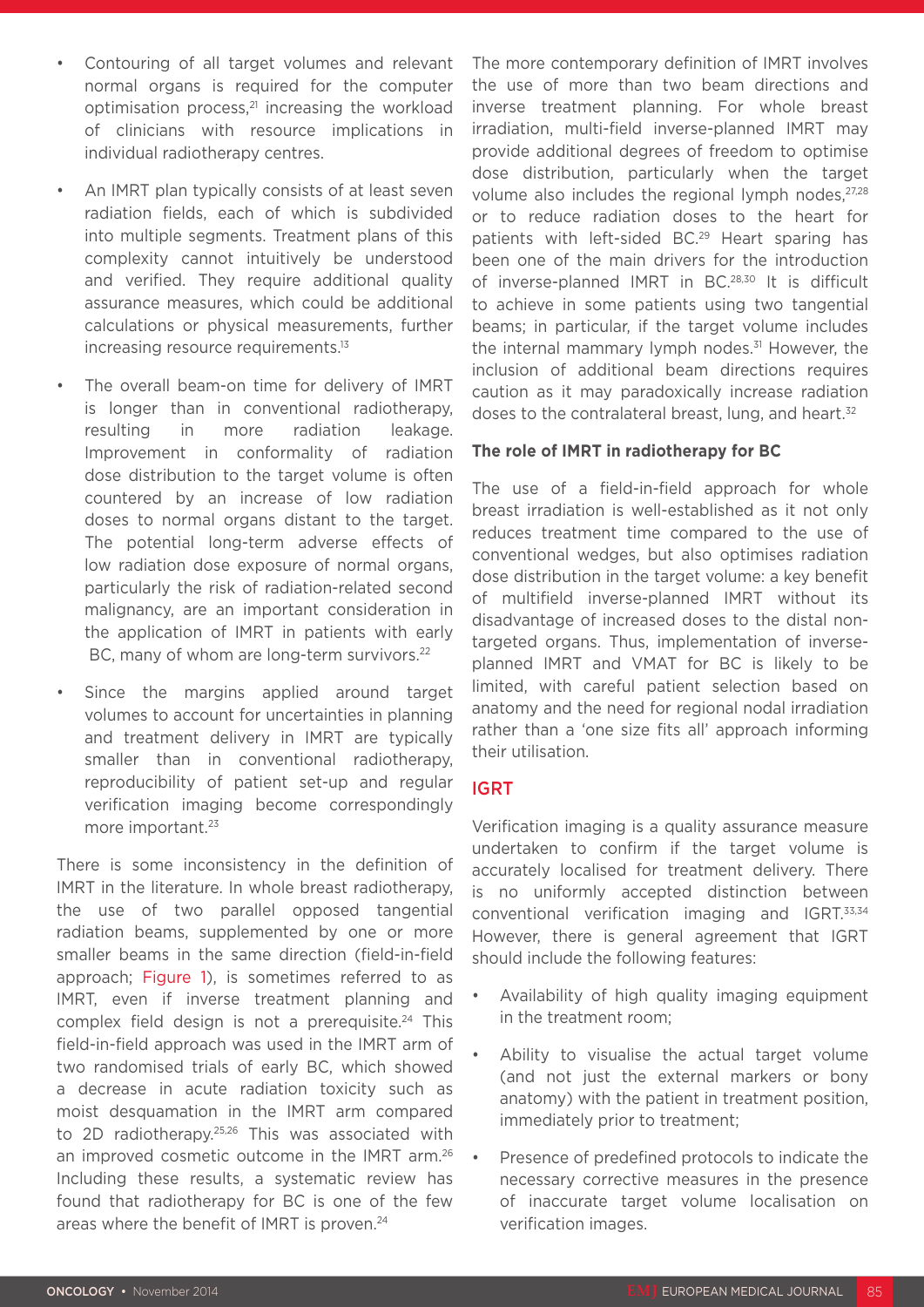- Contouring of all target volumes and relevant normal organs is required for the computer optimisation process,21 increasing the workload of clinicians with resource implications in individual radiotherapy centres.
- An IMRT plan typically consists of at least seven radiation fields, each of which is subdivided into multiple segments. Treatment plans of this complexity cannot intuitively be understood and verified. They require additional quality assurance measures, which could be additional calculations or physical measurements, further increasing resource requirements.13
- The overall beam-on time for delivery of IMRT is longer than in conventional radiotherapy, resulting in more radiation leakage. Improvement in conformality of radiation dose distribution to the target volume is often countered by an increase of low radiation doses to normal organs distant to the target. The potential long-term adverse effects of low radiation dose exposure of normal organs, particularly the risk of radiation-related second malignancy, are an important consideration in the application of IMRT in patients with early BC, many of whom are long-term survivors.<sup>22</sup>
- Since the margins applied around target volumes to account for uncertainties in planning and treatment delivery in IMRT are typically smaller than in conventional radiotherapy, reproducibility of patient set-up and regular verification imaging become correspondingly more important.23

There is some inconsistency in the definition of IMRT in the literature. In whole breast radiotherapy, the use of two parallel opposed tangential radiation beams, supplemented by one or more smaller beams in the same direction (field-in-field approach; Figure 1), is sometimes referred to as IMRT, even if inverse treatment planning and complex field design is not a prerequisite.<sup>24</sup> This field-in-field approach was used in the IMRT arm of two randomised trials of early BC, which showed a decrease in acute radiation toxicity such as moist desquamation in the IMRT arm compared to 2D radiotherapy.25,26 This was associated with an improved cosmetic outcome in the IMRT arm.26 Including these results, a systematic review has found that radiotherapy for BC is one of the few areas where the benefit of IMRT is proven.<sup>24</sup>

The more contemporary definition of IMRT involves the use of more than two beam directions and inverse treatment planning. For whole breast irradiation, multi-field inverse-planned IMRT may provide additional degrees of freedom to optimise dose distribution, particularly when the target volume also includes the regional lymph nodes, 27,28 or to reduce radiation doses to the heart for patients with left-sided BC.29 Heart sparing has been one of the main drivers for the introduction of inverse-planned IMRT in BC.28,30 It is difficult to achieve in some patients using two tangential beams; in particular, if the target volume includes the internal mammary lymph nodes.<sup>31</sup> However, the inclusion of additional beam directions requires caution as it may paradoxically increase radiation doses to the contralateral breast, lung, and heart.32

#### **The role of IMRT in radiotherapy for BC**

The use of a field-in-field approach for whole breast irradiation is well-established as it not only reduces treatment time compared to the use of conventional wedges, but also optimises radiation dose distribution in the target volume: a key benefit of multifield inverse-planned IMRT without its disadvantage of increased doses to the distal nontargeted organs. Thus, implementation of inverseplanned IMRT and VMAT for BC is likely to be limited, with careful patient selection based on anatomy and the need for regional nodal irradiation rather than a 'one size fits all' approach informing their utilisation.

#### IGRT

Verification imaging is a quality assurance measure undertaken to confirm if the target volume is accurately localised for treatment delivery. There is no uniformly accepted distinction between conventional verification imaging and IGRT.33,34 However, there is general agreement that IGRT should include the following features:

- Availability of high quality imaging equipment in the treatment room;
- Ability to visualise the actual target volume (and not just the external markers or bony anatomy) with the patient in treatment position, immediately prior to treatment;
- Presence of predefined protocols to indicate the necessary corrective measures in the presence of inaccurate target volume localisation on verification images.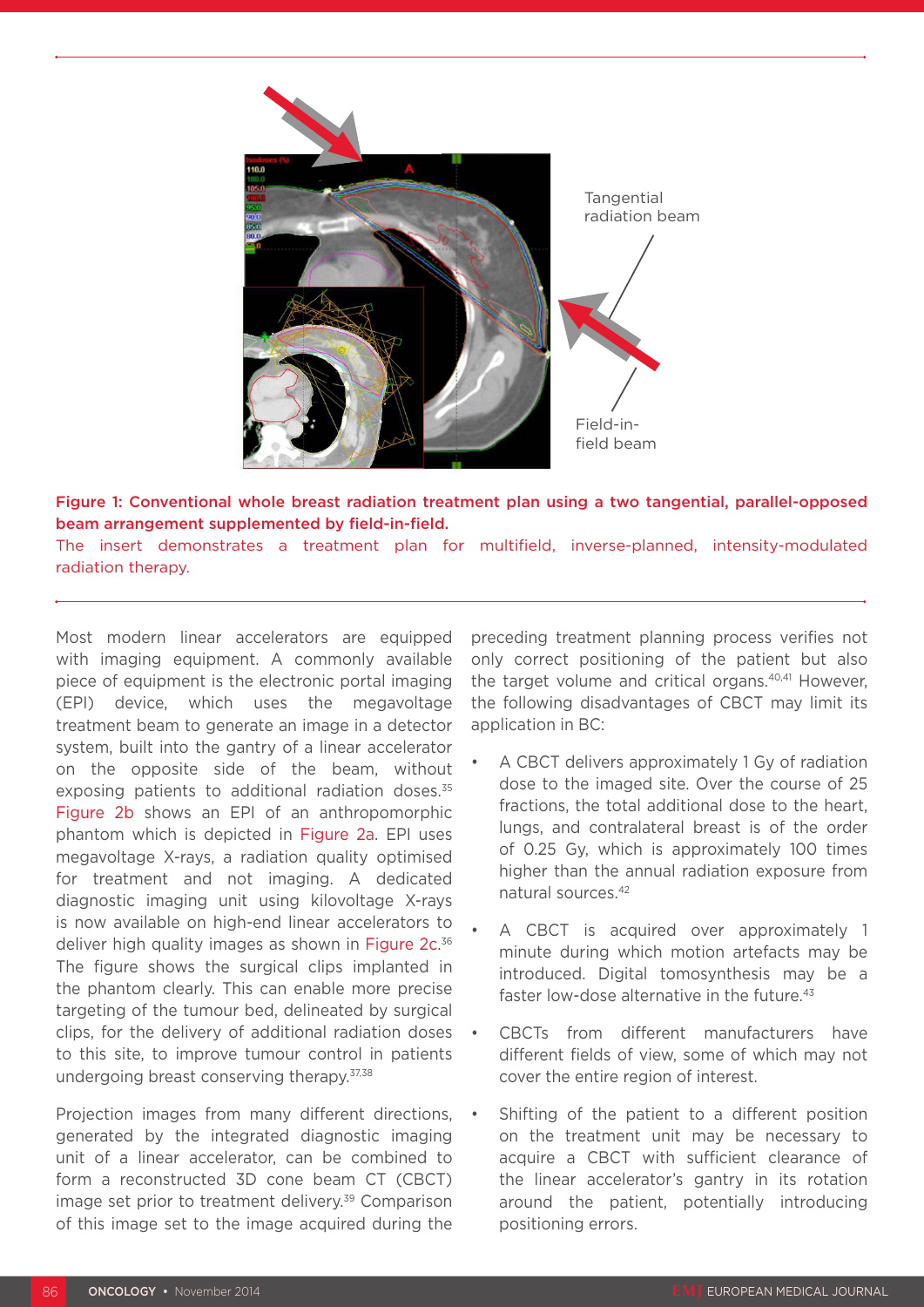

Figure 1: Conventional whole breast radiation treatment plan using a two tangential, parallel-opposed beam arrangement supplemented by field-in-field. The insert demonstrates a treatment plan for multifield, inverse-planned, intensity-modulated radiation therapy.

Most modern linear accelerators are equipped with imaging equipment. A commonly available piece of equipment is the electronic portal imaging (EPI) device, which uses the megavoltage treatment beam to generate an image in a detector system, built into the gantry of a linear accelerator on the opposite side of the beam, without exposing patients to additional radiation doses.<sup>35</sup> Figure 2b shows an EPI of an anthropomorphic phantom which is depicted in Figure 2a. EPI uses megavoltage X-rays, a radiation quality optimised for treatment and not imaging. A dedicated diagnostic imaging unit using kilovoltage X-rays is now available on high-end linear accelerators to deliver high quality images as shown in Figure 2c.<sup>36</sup> The figure shows the surgical clips implanted in the phantom clearly. This can enable more precise targeting of the tumour bed, delineated by surgical clips, for the delivery of additional radiation doses to this site, to improve tumour control in patients undergoing breast conserving therapy. 37,38

Projection images from many different directions, generated by the integrated diagnostic imaging unit of a linear accelerator, can be combined to form a reconstructed 3D cone beam CT (CBCT) image set prior to treatment delivery.<sup>39</sup> Comparison of this image set to the image acquired during the

preceding treatment planning process verifies not only correct positioning of the patient but also the target volume and critical organs.40,41 However, the following disadvantages of CBCT may limit its application in BC:

- A CBCT delivers approximately 1 Gy of radiation dose to the imaged site. Over the course of 25 fractions, the total additional dose to the heart, lungs, and contralateral breast is of the order of 0.25 Gy, which is approximately 100 times higher than the annual radiation exposure from natural sources.42
- A CBCT is acquired over approximately 1 minute during which motion artefacts may be introduced. Digital tomosynthesis may be a faster low-dose alternative in the future. $43$
- CBCTs from different manufacturers have different fields of view, some of which may not cover the entire region of interest.
- Shifting of the patient to a different position on the treatment unit may be necessary to acquire a CBCT with sufficient clearance of the linear accelerator's gantry in its rotation around the patient, potentially introducing positioning errors.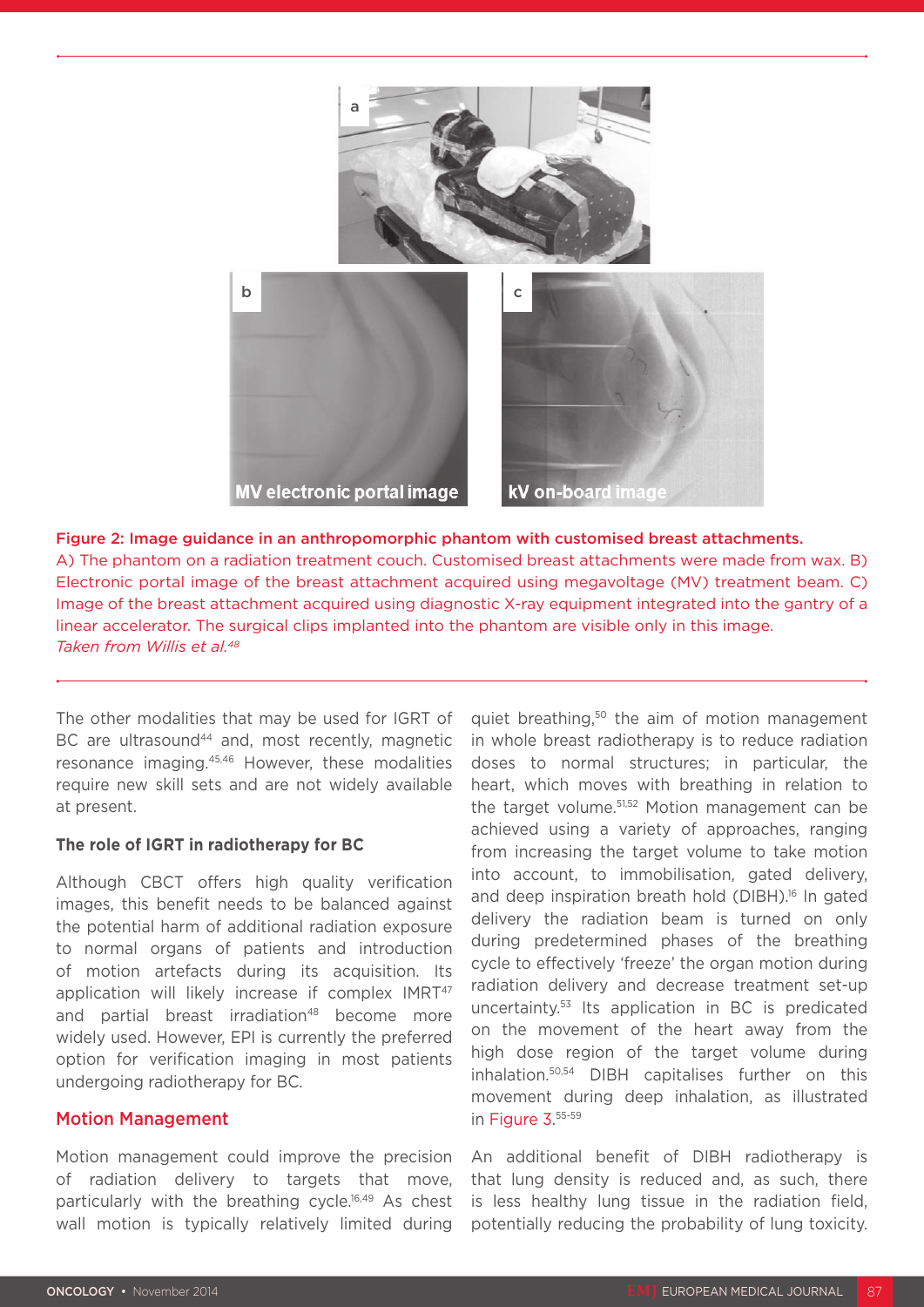

Figure 2: Image guidance in an anthropomorphic phantom with customised breast attachments. A) The phantom on a radiation treatment couch. Customised breast attachments were made from wax. B) Electronic portal image of the breast attachment acquired using megavoltage (MV) treatment beam. C) Image of the breast attachment acquired using diagnostic X-ray equipment integrated into the gantry of a linear accelerator. The surgical clips implanted into the phantom are visible only in this image. *Taken from Willis et al.48*

The other modalities that may be used for IGRT of BC are ultrasound<sup>44</sup> and, most recently, magnetic resonance imaging.45,46 However, these modalities require new skill sets and are not widely available at present.

#### **The role of IGRT in radiotherapy for BC**

Although CBCT offers high quality verification images, this benefit needs to be balanced against the potential harm of additional radiation exposure to normal organs of patients and introduction of motion artefacts during its acquisition. Its application will likely increase if complex IMRT<sup>47</sup> and partial breast irradiation<sup>48</sup> become more widely used. However, EPI is currently the preferred option for verification imaging in most patients undergoing radiotherapy for BC.

#### Motion Management

Motion management could improve the precision of radiation delivery to targets that move, particularly with the breathing cycle.<sup>16,49</sup> As chest wall motion is typically relatively limited during

quiet breathing,<sup>50</sup> the aim of motion management in whole breast radiotherapy is to reduce radiation doses to normal structures; in particular, the heart, which moves with breathing in relation to the target volume.<sup>51,52</sup> Motion management can be achieved using a variety of approaches, ranging from increasing the target volume to take motion into account, to immobilisation, gated delivery, and deep inspiration breath hold (DIBH).<sup>16</sup> In gated delivery the radiation beam is turned on only during predetermined phases of the breathing cycle to effectively 'freeze' the organ motion during radiation delivery and decrease treatment set-up uncertainty.53 Its application in BC is predicated on the movement of the heart away from the high dose region of the target volume during inhalation.50,54 DIBH capitalises further on this movement during deep inhalation, as illustrated in Figure 3. 55-59

An additional benefit of DIBH radiotherapy is that lung density is reduced and, as such, there is less healthy lung tissue in the radiation field, potentially reducing the probability of lung toxicity.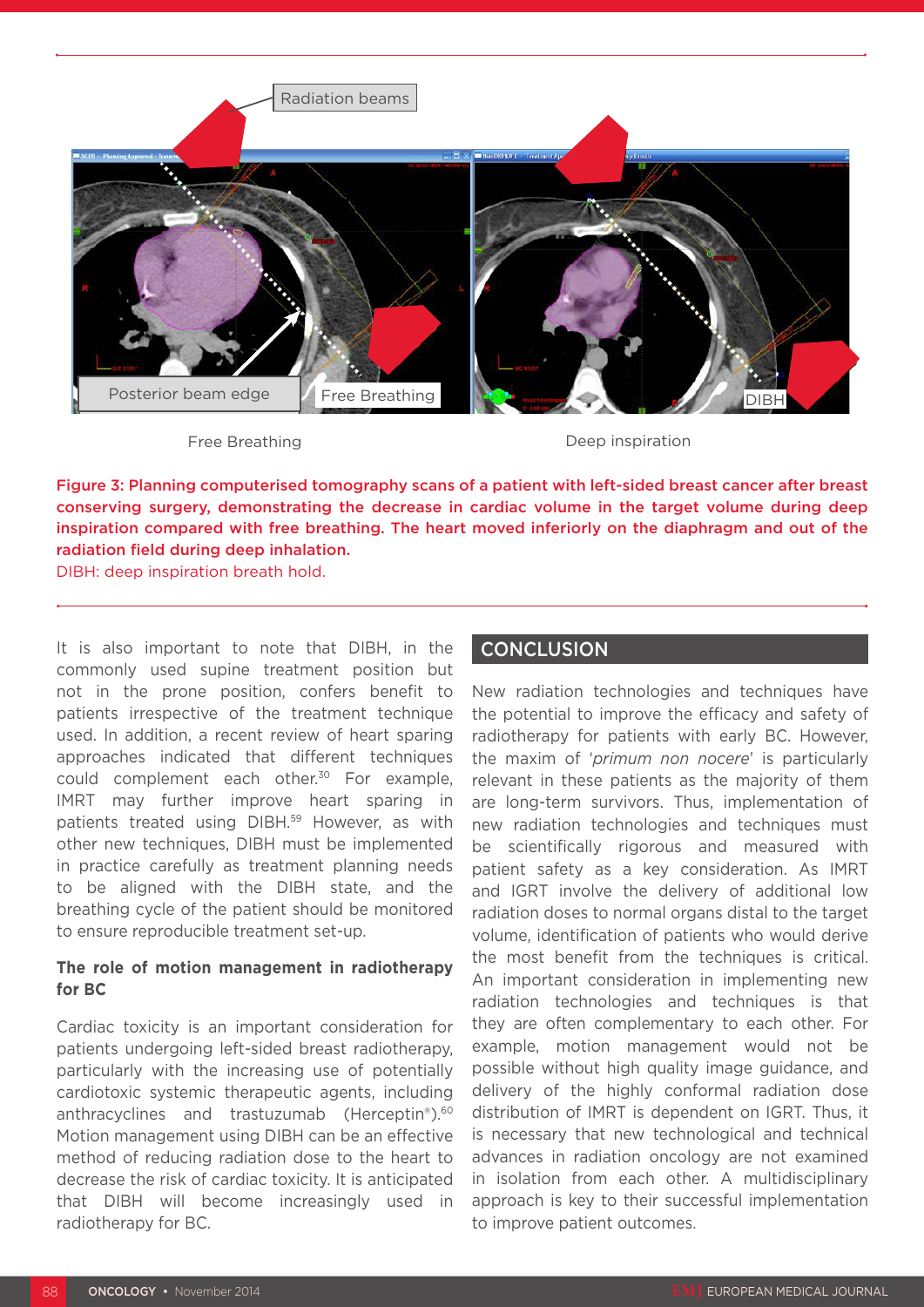

Free Breathing **Deep inspiration** 

Figure 3: Planning computerised tomography scans of a patient with left-sided breast cancer after breast conserving surgery, demonstrating the decrease in cardiac volume in the target volume during deep inspiration compared with free breathing. The heart moved inferiorly on the diaphragm and out of the radiation field during deep inhalation.

DIBH: deep inspiration breath hold.

It is also important to note that DIBH, in the commonly used supine treatment position but not in the prone position, confers benefit to patients irrespective of the treatment technique used. In addition, a recent review of heart sparing approaches indicated that different techniques could complement each other.<sup>30</sup> For example, IMRT may further improve heart sparing in patients treated using DIBH.<sup>59</sup> However, as with other new techniques, DIBH must be implemented in practice carefully as treatment planning needs to be aligned with the DIBH state, and the breathing cycle of the patient should be monitored to ensure reproducible treatment set-up.

#### **The role of motion management in radiotherapy for BC**

Cardiac toxicity is an important consideration for patients undergoing left-sided breast radiotherapy, particularly with the increasing use of potentially cardiotoxic systemic therapeutic agents, including anthracyclines and trastuzumab (Herceptin®).60 Motion management using DIBH can be an effective method of reducing radiation dose to the heart to decrease the risk of cardiac toxicity. It is anticipated that DIBH will become increasingly used in radiotherapy for BC.

## **CONCLUSION**

New radiation technologies and techniques have the potential to improve the efficacy and safety of radiotherapy for patients with early BC. However, the maxim of '*primum non nocere*' is particularly relevant in these patients as the majority of them are long-term survivors. Thus, implementation of new radiation technologies and techniques must be scientifically rigorous and measured with patient safety as a key consideration. As IMRT and IGRT involve the delivery of additional low radiation doses to normal organs distal to the target volume, identification of patients who would derive the most benefit from the techniques is critical. An important consideration in implementing new radiation technologies and techniques is that they are often complementary to each other. For example, motion management would not be possible without high quality image guidance, and delivery of the highly conformal radiation dose distribution of IMRT is dependent on IGRT. Thus, it is necessary that new technological and technical advances in radiation oncology are not examined in isolation from each other. A multidisciplinary approach is key to their successful implementation to improve patient outcomes.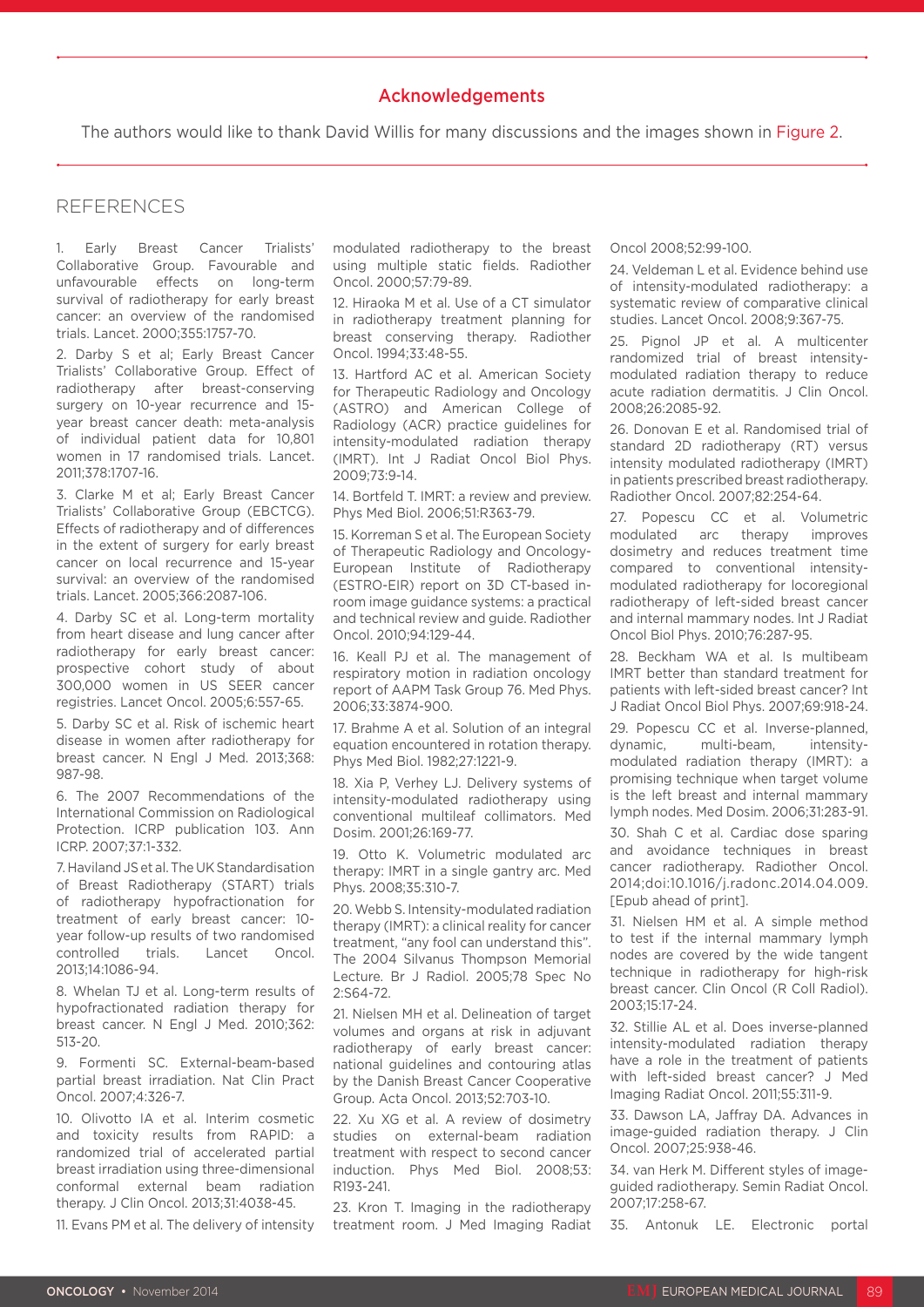#### Acknowledgements

The authors would like to thank David Willis for many discussions and the images shown in Figure 2.

#### REFERENCES

1. Early Breast Cancer Trialists' Collaborative Group. Favourable and unfavourable effects on long-term survival of radiotherapy for early breast cancer: an overview of the randomised trials. Lancet. 2000;355:1757-70.

2. Darby S et al; Early Breast Cancer Trialists' Collaborative Group. Effect of radiotherapy after breast-conserving surgery on 10-year recurrence and 15 year breast cancer death: meta-analysis of individual patient data for 10,801 women in 17 randomised trials. Lancet. 2011;378:1707-16.

3. Clarke M et al; Early Breast Cancer Trialists' Collaborative Group (EBCTCG). Effects of radiotherapy and of differences in the extent of surgery for early breast cancer on local recurrence and 15-year survival: an overview of the randomised trials. Lancet. 2005;366:2087-106.

4. Darby SC et al. Long-term mortality from heart disease and lung cancer after radiotherapy for early breast cancer: prospective cohort study of about 300,000 women in US SEER cancer registries. Lancet Oncol. 2005;6:557-65.

5. Darby SC et al. Risk of ischemic heart disease in women after radiotherapy for breast cancer. N Engl J Med. 2013;368: 987-98.

6. The 2007 Recommendations of the International Commission on Radiological Protection. ICRP publication 103. Ann ICRP. 2007;37:1-332.

7. Haviland JS et al. The UK Standardisation of Breast Radiotherapy (START) trials of radiotherapy hypofractionation for treatment of early breast cancer: 10 year follow-up results of two randomised controlled trials. Lancet Oncol. 2013;14:1086-94.

8. Whelan TJ et al. Long-term results of hypofractionated radiation therapy for breast cancer. N Engl J Med. 2010;362: 513-20.

9. Formenti SC. External-beam-based partial breast irradiation. Nat Clin Pract Oncol. 2007;4:326-7.

10. Olivotto IA et al. Interim cosmetic and toxicity results from RAPID: a randomized trial of accelerated partial breast irradiation using three-dimensional conformal external beam radiation therapy. J Clin Oncol. 2013;31:4038-45.

11. Evans PM et al. The delivery of intensity

modulated radiotherapy to the breast using multiple static fields. Radiother Oncol. 2000;57:79-89.

12. Hiraoka M et al. Use of a CT simulator in radiotherapy treatment planning for breast conserving therapy. Radiother Oncol. 1994;33:48-55.

13. Hartford AC et al. American Society for Therapeutic Radiology and Oncology (ASTRO) and American College of Radiology (ACR) practice guidelines for intensity-modulated radiation therapy (IMRT). Int J Radiat Oncol Biol Phys. 2009;73:9-14.

14. Bortfeld T. IMRT: a review and preview. Phys Med Biol. 2006;51:R363-79.

15. Korreman S et al. The European Society of Therapeutic Radiology and Oncology-European Institute of Radiotherapy (ESTRO-EIR) report on 3D CT-based inroom image guidance systems: a practical and technical review and guide. Radiother Oncol. 2010;94:129-44.

16. Keall PJ et al. The management of respiratory motion in radiation oncology report of AAPM Task Group 76. Med Phys. 2006;33:3874-900.

17. Brahme A et al. Solution of an integral equation encountered in rotation therapy. Phys Med Biol. 1982;27:1221-9.

18. Xia P, Verhey LJ. Delivery systems of intensity-modulated radiotherapy using conventional multileaf collimators. Med Dosim. 2001;26:169-77.

19. Otto K. Volumetric modulated arc therapy: IMRT in a single gantry arc. Med Phys. 2008;35:310-7.

20. Webb S. Intensity-modulated radiation therapy (IMRT): a clinical reality for cancer treatment, "any fool can understand this". The 2004 Silvanus Thompson Memorial Lecture. Br J Radiol. 2005;78 Spec No 2:S64-72.

21. Nielsen MH et al. Delineation of target volumes and organs at risk in adjuvant radiotherapy of early breast cancer: national guidelines and contouring atlas by the Danish Breast Cancer Cooperative Group. Acta Oncol. 2013;52:703-10.

22. Xu XG et al. A review of dosimetry studies on external-beam radiation treatment with respect to second cancer induction. Phys Med Biol. 2008;53: R193-241.

23. Kron T. Imaging in the radiotherapy treatment room. J Med Imaging Radiat Oncol 2008;52:99-100.

24. Veldeman L et al. Evidence behind use of intensity-modulated radiotherapy: a systematic review of comparative clinical studies. Lancet Oncol. 2008;9:367-75.

25. Pignol JP et al. A multicenter randomized trial of breast intensitymodulated radiation therapy to reduce acute radiation dermatitis. J Clin Oncol. 2008;26:2085-92.

26. Donovan E et al. Randomised trial of standard 2D radiotherapy (RT) versus intensity modulated radiotherapy (IMRT) in patients prescribed breast radiotherapy. Radiother Oncol. 2007;82:254-64.

27. Popescu CC et al. Volumetric modulated arc therapy improves dosimetry and reduces treatment time compared to conventional intensitymodulated radiotherapy for locoregional radiotherapy of left-sided breast cancer and internal mammary nodes. Int J Radiat Oncol Biol Phys. 2010;76:287-95.

28. Beckham WA et al. Is multibeam IMRT better than standard treatment for patients with left-sided breast cancer? Int J Radiat Oncol Biol Phys. 2007;69:918-24.

29. Popescu CC et al. Inverse-planned, dynamic, multi-beam, intensitymodulated radiation therapy (IMRT): a promising technique when target volume is the left breast and internal mammary lymph nodes. Med Dosim. 2006;31:283-91.

30. Shah C et al. Cardiac dose sparing and avoidance techniques in breast cancer radiotherapy. Radiother Oncol. 2014;doi:10.1016/j.radonc.2014.04.009. [Epub ahead of print].

31. Nielsen HM et al. A simple method to test if the internal mammary lymph nodes are covered by the wide tangent technique in radiotherapy for high-risk breast cancer. Clin Oncol (R Coll Radiol). 2003;15:17-24.

32. Stillie AL et al. Does inverse-planned intensity-modulated radiation therapy have a role in the treatment of patients with left-sided breast cancer? J Med Imaging Radiat Oncol. 2011;55:311-9.

33. Dawson LA, Jaffray DA. Advances in image-guided radiation therapy. J Clin Oncol. 2007;25:938-46.

34. van Herk M. Different styles of imageguided radiotherapy. Semin Radiat Oncol. 2007;17:258-67.

35. Antonuk LE. Electronic portal